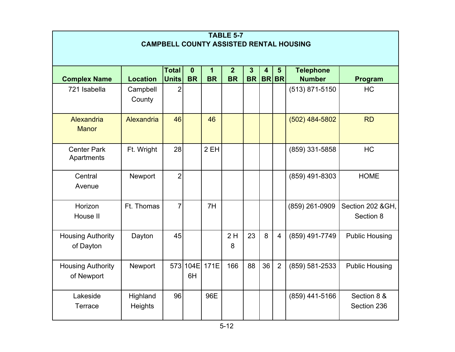| <b>TABLE 5-7</b><br><b>CAMPBELL COUNTY ASSISTED RENTAL HOUSING</b>                                                                               |                            |                |            |           |           |           |    |                |                  |                               |
|--------------------------------------------------------------------------------------------------------------------------------------------------|----------------------------|----------------|------------|-----------|-----------|-----------|----|----------------|------------------|-------------------------------|
| <b>Total</b><br><b>Telephone</b><br>$\mathbf 0$<br>$\overline{2}$<br>$\overline{3}$<br>$\mathbf{1}$<br>$\overline{\mathbf{4}}$<br>$5\phantom{1}$ |                            |                |            |           |           |           |    |                |                  |                               |
| <b>Complex Name</b>                                                                                                                              | <b>Location</b>            | <b>Units</b>   | <b>BR</b>  | <b>BR</b> | <b>BR</b> | <b>BR</b> |    | <b>BRBR</b>    | <b>Number</b>    | Program                       |
| 721 Isabella                                                                                                                                     | Campbell<br>County         | 2              |            |           |           |           |    |                | $(513)$ 871-5150 | <b>HC</b>                     |
| Alexandria<br><b>Manor</b>                                                                                                                       | Alexandria                 | 46             |            | 46        |           |           |    |                | $(502)$ 484-5802 | <b>RD</b>                     |
| <b>Center Park</b><br>Apartments                                                                                                                 | Ft. Wright                 | 28             |            | 2 EH      |           |           |    |                | (859) 331-5858   | <b>HC</b>                     |
| Central<br>Avenue                                                                                                                                | Newport                    | $\overline{2}$ |            |           |           |           |    |                | (859) 491-8303   | <b>HOME</b>                   |
| Horizon<br>House II                                                                                                                              | Ft. Thomas                 | $\overline{7}$ |            | 7H        |           |           |    |                | (859) 261-0909   | Section 202 &GH,<br>Section 8 |
| <b>Housing Authority</b><br>of Dayton                                                                                                            | Dayton                     | 45             |            |           | 2H<br>8   | 23        | 8  | $\overline{4}$ | (859) 491-7749   | <b>Public Housing</b>         |
| <b>Housing Authority</b><br>of Newport                                                                                                           | Newport                    | 573            | 104E<br>6H | 171E      | 166       | 88        | 36 | $\overline{2}$ | (859) 581-2533   | <b>Public Housing</b>         |
| Lakeside<br>Terrace                                                                                                                              | Highland<br><b>Heights</b> | 96             |            | 96E       |           |           |    |                | $(859)$ 441-5166 | Section 8 &<br>Section 236    |